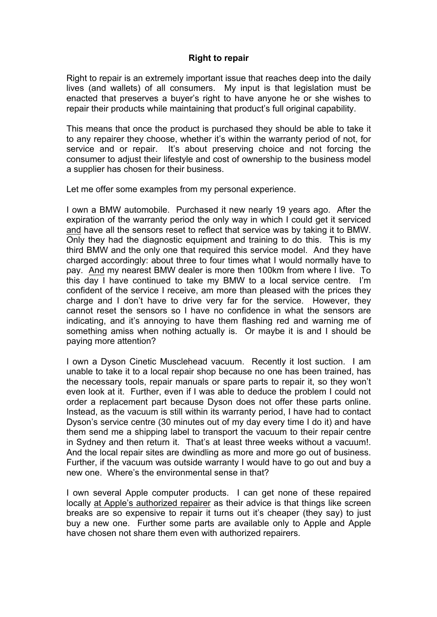## **Right to repair**

Right to repair is an extremely important issue that reaches deep into the daily lives (and wallets) of all consumers. My input is that legislation must be enacted that preserves a buyer's right to have anyone he or she wishes to repair their products while maintaining that product's full original capability.

This means that once the product is purchased they should be able to take it to any repairer they choose, whether it's within the warranty period of not, for service and or repair. It's about preserving choice and not forcing the consumer to adjust their lifestyle and cost of ownership to the business model a supplier has chosen for their business.

Let me offer some examples from my personal experience.

I own a BMW automobile. Purchased it new nearly 19 years ago. After the expiration of the warranty period the only way in which I could get it serviced and have all the sensors reset to reflect that service was by taking it to BMW. Only they had the diagnostic equipment and training to do this. This is my third BMW and the only one that required this service model. And they have charged accordingly: about three to four times what I would normally have to pay. And my nearest BMW dealer is more then 100km from where I live. To this day I have continued to take my BMW to a local service centre. I'm confident of the service I receive, am more than pleased with the prices they charge and I don't have to drive very far for the service. However, they cannot reset the sensors so I have no confidence in what the sensors are indicating, and it's annoying to have them flashing red and warning me of something amiss when nothing actually is. Or maybe it is and I should be paying more attention?

I own a Dyson Cinetic Musclehead vacuum. Recently it lost suction. I am unable to take it to a local repair shop because no one has been trained, has the necessary tools, repair manuals or spare parts to repair it, so they won't even look at it. Further, even if I was able to deduce the problem I could not order a replacement part because Dyson does not offer these parts online. Instead, as the vacuum is still within its warranty period, I have had to contact Dyson's service centre (30 minutes out of my day every time I do it) and have them send me a shipping label to transport the vacuum to their repair centre in Sydney and then return it. That's at least three weeks without a vacuum!. And the local repair sites are dwindling as more and more go out of business. Further, if the vacuum was outside warranty I would have to go out and buy a new one. Where's the environmental sense in that?

I own several Apple computer products. I can get none of these repaired locally at Apple's authorized repairer as their advice is that things like screen breaks are so expensive to repair it turns out it's cheaper (they say) to just buy a new one. Further some parts are available only to Apple and Apple have chosen not share them even with authorized repairers.